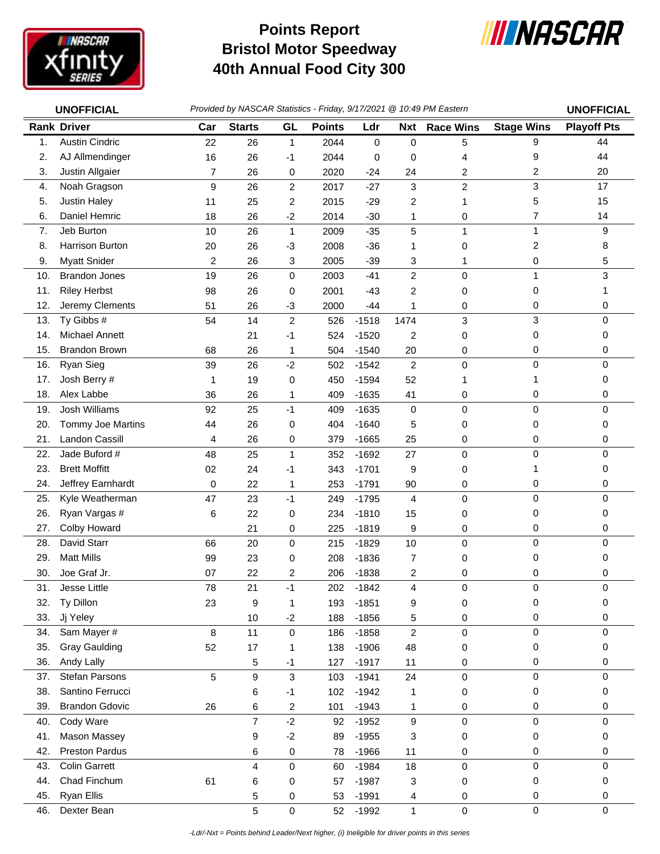

## **Bristol Motor Speedway 40th Annual Food City 300 Points Report**



|     | <b>UNOFFICIAL</b>      | Provided by NASCAR Statistics - Friday, 9/17/2021 @ 10:49 PM Eastern | <b>UNOFFICIAL</b>       |                         |               |             |                |                  |                         |                    |
|-----|------------------------|----------------------------------------------------------------------|-------------------------|-------------------------|---------------|-------------|----------------|------------------|-------------------------|--------------------|
|     | <b>Rank Driver</b>     | Car                                                                  | <b>Starts</b>           | GL                      | <b>Points</b> | Ldr         | <b>Nxt</b>     | <b>Race Wins</b> | <b>Stage Wins</b>       | <b>Playoff Pts</b> |
| 1.  | <b>Austin Cindric</b>  | 22                                                                   | 26                      | $\mathbf{1}$            | 2044          | $\mathbf 0$ | 0              | 5                | 9                       | 44                 |
| 2.  | AJ Allmendinger        | 16                                                                   | 26                      | -1                      | 2044          | 0           | 0              | 4                | 9                       | 44                 |
| 3.  | Justin Allgaier        | 7                                                                    | 26                      | 0                       | 2020          | $-24$       | 24             | 2                | 2                       | 20                 |
| 4.  | Noah Gragson           | 9                                                                    | 26                      | $\overline{c}$          | 2017          | $-27$       | 3              | $\overline{c}$   | 3                       | 17                 |
| 5.  | Justin Haley           | 11                                                                   | 25                      | 2                       | 2015          | $-29$       | 2              | 1                | 5                       | 15                 |
| 6.  | Daniel Hemric          | 18                                                                   | 26                      | $-2$                    | 2014          | $-30$       | 1              | 0                | $\overline{7}$          | 14                 |
| 7.  | Jeb Burton             | 10                                                                   | 26                      | $\mathbf{1}$            | 2009          | $-35$       | 5              | $\mathbf{1}$     | $\mathbf{1}$            | 9                  |
| 8.  | <b>Harrison Burton</b> | 20                                                                   | 26                      | $-3$                    | 2008          | $-36$       | 1              | 0                | $\overline{\mathbf{c}}$ | 8                  |
| 9.  | <b>Myatt Snider</b>    | $\overline{c}$                                                       | 26                      | 3                       | 2005          | $-39$       | 3              | 1                | 0                       | 5                  |
| 10. | <b>Brandon Jones</b>   | 19                                                                   | 26                      | 0                       | 2003          | $-41$       | $\overline{c}$ | 0                | 1                       | $\mathbf{3}$       |
| 11. | <b>Riley Herbst</b>    | 98                                                                   | 26                      | 0                       | 2001          | $-43$       | 2              | 0                | 0                       |                    |
| 12. | Jeremy Clements        | 51                                                                   | 26                      | $-3$                    | 2000          | $-44$       | 1              | 0                | 0                       | 0                  |
| 13. | Ty Gibbs #             | 54                                                                   | 14                      | $\boldsymbol{2}$        | 526           | $-1518$     | 1474           | 3                | 3                       | $\mathbf 0$        |
| 14. | <b>Michael Annett</b>  |                                                                      | 21                      | $-1$                    | 524           | $-1520$     | $\overline{c}$ | 0                | 0                       | 0                  |
| 15. | <b>Brandon Brown</b>   | 68                                                                   | 26                      | 1                       | 504           | $-1540$     | 20             | 0                | 0                       | 0                  |
| 16. | Ryan Sieg              | 39                                                                   | 26                      | $-2$                    | 502           | $-1542$     | $\overline{c}$ | 0                | $\mathbf 0$             | 0                  |
| 17. | Josh Berry #           | 1                                                                    | 19                      | 0                       | 450           | $-1594$     | 52             | 1                | 1                       | $\Omega$           |
| 18. | Alex Labbe             | 36                                                                   | 26                      | 1                       | 409           | $-1635$     | 41             | 0                | 0                       | 0                  |
| 19. | Josh Williams          | 92                                                                   | 25                      | $-1$                    | 409           | $-1635$     | 0              | $\pmb{0}$        | 0                       | $\mathbf 0$        |
| 20. | Tommy Joe Martins      | 44                                                                   | 26                      | 0                       | 404           | $-1640$     | 5              | 0                | 0                       | 0                  |
| 21. | <b>Landon Cassill</b>  | 4                                                                    | 26                      | 0                       | 379           | $-1665$     | 25             | 0                | 0                       | 0                  |
| 22. | Jade Buford #          | 48                                                                   | 25                      | $\mathbf{1}$            | 352           | $-1692$     | 27             | $\pmb{0}$        | 0                       | 0                  |
| 23. | <b>Brett Moffitt</b>   | 02                                                                   | 24                      | -1                      | 343           | $-1701$     | 9              | 0                | 1                       | 0                  |
| 24. | Jeffrey Earnhardt      | 0                                                                    | 22                      | 1                       | 253           | $-1791$     | 90             | 0                | 0                       | 0                  |
| 25. | Kyle Weatherman        | 47                                                                   | 23                      | $-1$                    | 249           | $-1795$     | 4              | $\mathbf 0$      | $\mathbf 0$             | $\mathbf 0$        |
| 26. | Ryan Vargas #          | 6                                                                    | 22                      | 0                       | 234           | $-1810$     | 15             | 0                | 0                       | 0                  |
| 27. | Colby Howard           |                                                                      | 21                      | 0                       | 225           | $-1819$     | 9              | 0                | 0                       | 0                  |
| 28. | David Starr            | 66                                                                   | 20                      | $\mathbf 0$             | 215           | $-1829$     | 10             | $\mathbf 0$      | $\pmb{0}$               | $\mathbf 0$        |
| 29. | <b>Matt Mills</b>      | 99                                                                   | 23                      | 0                       | 208           | $-1836$     | 7              | 0                | 0                       | 0                  |
| 30. | Joe Graf Jr.           | 07                                                                   | 22                      | 2                       | 206           | $-1838$     | 2              | 0                | 0                       | 0                  |
| 31. | Jesse Little           | 78                                                                   | 21                      | $-1$                    | 202           | $-1842$     | 4              | 0                | 0                       | 0                  |
| 32. | Ty Dillon              | 23                                                                   | 9                       | 1                       | 193           | $-1851$     | 9              | 0                | 0                       | 0                  |
| 33. | Jj Yeley               |                                                                      | 10                      | $-2$                    | 188           | $-1856$     | 5              | 0                | 0                       | 0                  |
| 34. | Sam Mayer #            | 8                                                                    | 11                      | $\mathbf 0$             | 186           | $-1858$     | $\overline{c}$ | $\pmb{0}$        | 0                       | 0                  |
| 35. | <b>Gray Gaulding</b>   | 52                                                                   | 17                      | 1                       | 138           | $-1906$     | 48             | 0                | 0                       | 0                  |
| 36. | Andy Lally             |                                                                      | 5                       | $-1$                    | 127           | $-1917$     | 11             | 0                | 0                       | 0                  |
| 37. | Stefan Parsons         | 5                                                                    | $\boldsymbol{9}$        | $\mathbf{3}$            | 103           | $-1941$     | 24             | 0                | $\pmb{0}$               | $\mathbf 0$        |
| 38. | Santino Ferrucci       |                                                                      | 6                       | $-1$                    | 102           | $-1942$     | 1              | 0                | 0                       | 0                  |
| 39. | <b>Brandon Gdovic</b>  | 26                                                                   | 6                       | $\overline{\mathbf{c}}$ | 101           | $-1943$     | 1              | 0                | 0                       | 0                  |
| 40. | Cody Ware              |                                                                      | $\overline{7}$          | $-2$                    | 92            | $-1952$     | 9              | $\pmb{0}$        | 0                       | 0                  |
| 41. | <b>Mason Massey</b>    |                                                                      | 9                       | $-2$                    | 89            | $-1955$     | 3              | 0                | 0                       | 0                  |
| 42. | <b>Preston Pardus</b>  |                                                                      | 6                       | 0                       | 78            | $-1966$     | 11             | 0                | 0                       | 0                  |
| 43. | <b>Colin Garrett</b>   |                                                                      | $\overline{\mathbf{4}}$ | 0                       | 60            | $-1984$     | 18             | 0                | $\pmb{0}$               | $\mathbf 0$        |
| 44. | Chad Finchum           | 61                                                                   | 6                       | 0                       | 57            | $-1987$     | 3              | 0                | 0                       | 0                  |
| 45. | Ryan Ellis             |                                                                      | 5                       | 0                       | 53            | $-1991$     | 4              | 0                | 0                       | 0                  |
| 46. | Dexter Bean            |                                                                      | 5                       | $\mathbf 0$             | 52            | $-1992$     | $\mathbf{1}$   | 0                | $\pmb{0}$               | $\mathbf 0$        |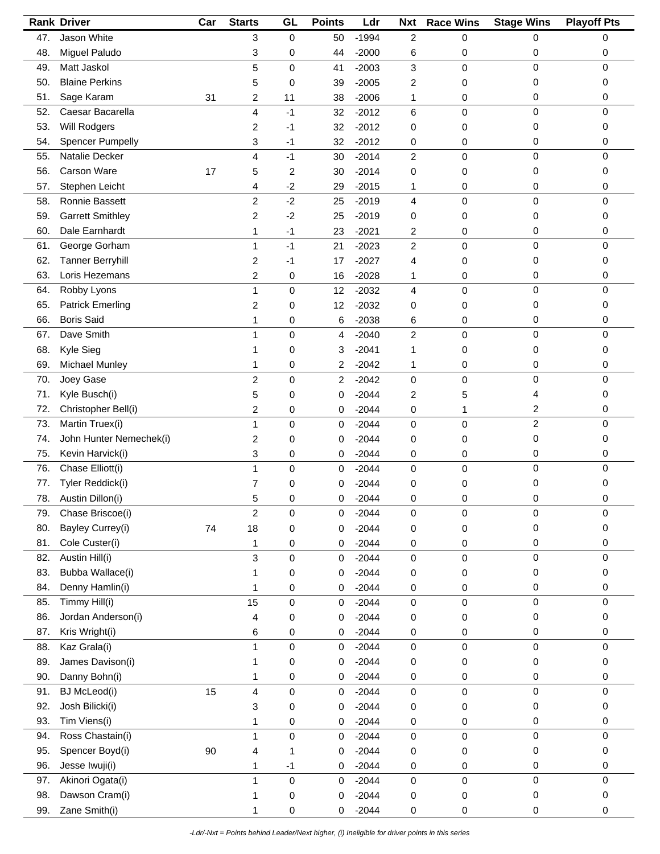|     | <b>Rank Driver</b>      | Car | <b>Starts</b>             | GL          | <b>Points</b> | Ldr     | <b>Nxt</b>     | <b>Race Wins</b> | <b>Stage Wins</b> | <b>Playoff Pts</b> |
|-----|-------------------------|-----|---------------------------|-------------|---------------|---------|----------------|------------------|-------------------|--------------------|
| 47. | Jason White             |     | 3                         | $\mathbf 0$ | 50            | $-1994$ | $\overline{c}$ | 0                | 0                 | 0                  |
| 48. | Miguel Paludo           |     | 3                         | 0           | 44            | $-2000$ | 6              | 0                | 0                 | 0                  |
| 49. | Matt Jaskol             |     | 5                         | 0           | 41            | $-2003$ | 3              | 0                | 0                 | $\mathbf 0$        |
| 50. | <b>Blaine Perkins</b>   |     | 5                         | 0           | 39            | $-2005$ | 2              | 0                | 0                 | 0                  |
| 51. | Sage Karam              | 31  | 2                         | 11          | 38            | $-2006$ | 1              | 0                | 0                 | 0                  |
| 52. | Caesar Bacarella        |     | 4                         | $-1$        | 32            | $-2012$ | 6              | 0                | 0                 | $\mathbf 0$        |
| 53. | <b>Will Rodgers</b>     |     | 2                         | -1          | 32            | $-2012$ | 0              | 0                | 0                 | 0                  |
| 54. | <b>Spencer Pumpelly</b> |     | 3                         | -1          | 32            | $-2012$ | 0              | 0                | 0                 | 0                  |
| 55. | Natalie Decker          |     | 4                         | $-1$        | 30            | $-2014$ | $\overline{c}$ | 0                | 0                 | 0                  |
| 56. | Carson Ware             | 17  | 5                         | 2           | 30            | $-2014$ | 0              | 0                | 0                 | 0                  |
| 57. | Stephen Leicht          |     | 4                         | $-2$        | 29            | $-2015$ | 1              | 0                | 0                 | 0                  |
| 58. | Ronnie Bassett          |     | $\overline{c}$            | $-2$        | 25            | $-2019$ | 4              | 0                | $\mathbf 0$       | 0                  |
| 59. | <b>Garrett Smithley</b> |     | 2                         | $-2$        | 25            | $-2019$ | 0              | 0                | 0                 | 0                  |
| 60. | Dale Earnhardt          |     | 1                         | $-1$        | 23            | $-2021$ | 2              | 0                | 0                 | 0                  |
| 61. | George Gorham           |     | 1                         | $-1$        | 21            | $-2023$ | $\overline{c}$ | 0                | 0                 | 0                  |
|     | <b>Tanner Berryhill</b> |     |                           |             |               |         |                |                  |                   |                    |
| 62. |                         |     | 2                         | -1          | 17            | $-2027$ | 4              | 0                | 0                 | 0                  |
| 63. | Loris Hezemans          |     | 2                         | 0           | 16            | $-2028$ | 1              | 0                | 0                 | 0                  |
| 64. | Robby Lyons             |     | 1                         | 0           | 12            | $-2032$ | 4              | 0                | 0                 | 0                  |
| 65. | <b>Patrick Emerling</b> |     | 2                         | 0           | 12            | $-2032$ | 0              | 0                | 0                 | 0                  |
| 66. | <b>Boris Said</b>       |     | 1                         | 0           | 6             | $-2038$ | 6              | 0                | 0                 | 0                  |
| 67. | Dave Smith              |     | 1                         | 0           | 4             | $-2040$ | $\overline{c}$ | 0                | $\pmb{0}$         | $\mathbf 0$        |
| 68. | Kyle Sieg               |     | 1                         | 0           | 3             | $-2041$ | 1              | 0                | 0                 | 0                  |
| 69. | Michael Munley          |     | 1                         | 0           | 2             | $-2042$ | 1              | 0                | 0                 | 0                  |
| 70. | Joey Gase               |     | $\overline{c}$            | 0           | 2             | $-2042$ | $\pmb{0}$      | 0                | 0                 | 0                  |
| 71. | Kyle Busch(i)           |     | 5                         | 0           | 0             | $-2044$ | 2              | 5                | 4                 | 0                  |
| 72. | Christopher Bell(i)     |     | $\overline{c}$            | 0           | 0             | $-2044$ | 0              | 1                | 2                 | 0                  |
| 73. | Martin Truex(i)         |     | 1                         | 0           | 0             | $-2044$ | 0              | 0                | $\overline{c}$    | $\mathbf 0$        |
| 74. | John Hunter Nemechek(i) |     | 2                         | 0           | 0             | $-2044$ | 0              | 0                | 0                 | 0                  |
| 75. | Kevin Harvick(i)        |     | 3                         | 0           | 0             | $-2044$ | 0              | 0                | 0                 | 0                  |
| 76. | Chase Elliott(i)        |     | 1                         | 0           | 0             | $-2044$ | 0              | 0                | 0                 | $\mathbf 0$        |
| 77. | Tyler Reddick(i)        |     | $\overline{7}$            | 0           | 0             | $-2044$ | 0              | 0                | 0                 | 0                  |
| 78. | Austin Dillon(i)        |     | 5                         | 0           | 0             | $-2044$ | 0              | 0                | 0                 | 0                  |
| 79. | Chase Briscoe(i)        |     | $\boldsymbol{2}$          | 0           | 0             | $-2044$ | 0              | 0                | 0                 | 0                  |
| 80. | Bayley Currey(i)        | 74  | 18                        | $\pmb{0}$   | 0             | $-2044$ | 0              | 0                | 0                 | 0                  |
| 81. | Cole Custer(i)          |     | 1                         | 0           | 0             | $-2044$ | 0              | 0                | 0                 | 0                  |
| 82. | Austin Hill(i)          |     | $\ensuremath{\mathsf{3}}$ | 0           | 0             | $-2044$ | 0              | 0                | 0                 | $\mathbf 0$        |
| 83. | Bubba Wallace(i)        |     | 1                         | 0           | 0             | $-2044$ | 0              | 0                | 0                 | 0                  |
| 84. | Denny Hamlin(i)         |     | 1                         | 0           | 0             | $-2044$ | 0              | 0                | 0                 | 0                  |
| 85. | Timmy Hill(i)           |     | 15                        | 0           | 0             | $-2044$ | 0              | 0                | 0                 | 0                  |
| 86. | Jordan Anderson(i)      |     | 4                         | 0           | 0             | $-2044$ | 0              | 0                | 0                 | 0                  |
| 87. | Kris Wright(i)          |     | 6                         | 0           | 0             | $-2044$ | 0              | 0                | 0                 | 0                  |
| 88. | Kaz Grala(i)            |     | 1                         | 0           | 0             | $-2044$ | 0              | 0                | $\pmb{0}$         | $\mathbf 0$        |
| 89. | James Davison(i)        |     | 1                         | 0           | 0             | $-2044$ | 0              | 0                | 0                 | 0                  |
| 90. | Danny Bohn(i)           |     | 1                         | 0           | 0             | $-2044$ | 0              |                  | 0                 | 0                  |
|     | <b>BJ</b> McLeod(i)     | 15  | 4                         |             | $\mathbf 0$   | $-2044$ |                | 0<br>0           | 0                 | $\mathbf 0$        |
| 91. | Josh Bilicki(i)         |     |                           | 0           |               |         | 0              |                  |                   |                    |
| 92. |                         |     | 3                         | 0           | 0             | $-2044$ | 0              | 0                | 0                 | 0                  |
| 93. | Tim Viens(i)            |     | 1                         | 0           | 0             | $-2044$ | 0              | 0                | 0                 | 0                  |
| 94. | Ross Chastain(i)        |     | 1                         | 0           | 0             | $-2044$ | $\pmb{0}$      | 0                | $\pmb{0}$         | $\mathbf 0$        |
| 95. | Spencer Boyd(i)         | 90  | 4                         | 1           | 0             | $-2044$ | 0              | 0                | 0                 | 0                  |
| 96. | Jesse Iwuji(i)          |     | 1                         | $-1$        | 0             | $-2044$ | 0              | 0                | 0                 | 0                  |
| 97. | Akinori Ogata(i)        |     | 1                         | $\mathsf 0$ | 0             | $-2044$ | 0              | 0                | $\pmb{0}$         | 0                  |
| 98. | Dawson Cram(i)          |     | 1                         | 0           | 0             | $-2044$ | 0              | 0                | 0                 | 0                  |
| 99. | Zane Smith(i)           |     | 1                         | 0           | 0             | $-2044$ | 0              | 0                | 0                 | 0                  |